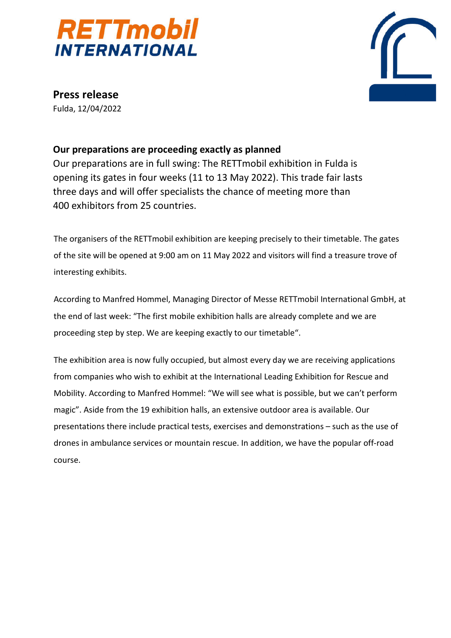



**Press release** Fulda, 12/04/2022

## **Our preparations are proceeding exactly as planned**

Our preparations are in full swing: The RETTmobil exhibition in Fulda is opening its gates in four weeks (11 to 13 May 2022). This trade fair lasts three days and will offer specialists the chance of meeting more than 400 exhibitors from 25 countries.

The organisers of the RETTmobil exhibition are keeping precisely to their timetable. The gates of the site will be opened at 9:00 am on 11 May 2022 and visitors will find a treasure trove of interesting exhibits.

According to Manfred Hommel, Managing Director of Messe RETTmobil International GmbH, at the end of last week: "The first mobile exhibition halls are already complete and we are proceeding step by step. We are keeping exactly to our timetable".

The exhibition area is now fully occupied, but almost every day we are receiving applications from companies who wish to exhibit at the International Leading Exhibition for Rescue and Mobility. According to Manfred Hommel: "We will see what is possible, but we can't perform magic". Aside from the 19 exhibition halls, an extensive outdoor area is available. Our presentations there include practical tests, exercises and demonstrations – such as the use of drones in ambulance services or mountain rescue. In addition, we have the popular off-road course.